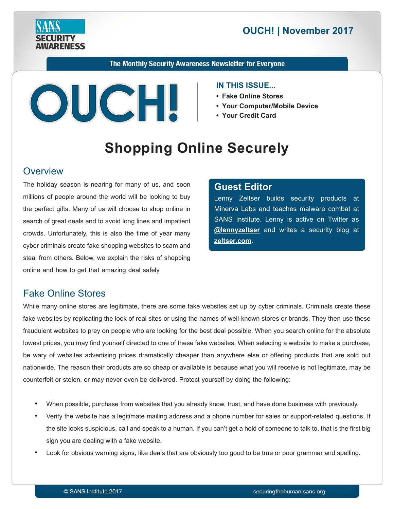

# **2017 | OUCH! | November 2017**

The Monthly Security Awareness Newsletter for Everyone



#### **IN THIS ISSUE...**

- Fake Online Stores
- Your Computer/Mobile Device
- Your Credit Card

# **Shopping Online Securely**

#### **Overview**

The holiday season is nearing for many of us, and soon millions of people around the world will be looking to buy the perfect gifts. Many of us will choose to shop online in search of great deals and to avoid long lines and impatient crowds. Unfortunately, this is also the time of year many cyber criminals create fake shopping websites to scam and steal from others. Below, we explain the risks of shopping online and how to get that amazing deal safely.

#### **Editor Guest**

Lenny Zeltser builds security products at Minerva Labs and teaches malware combat at SANS Institute. Lenny is active on Twitter as **@lennyzeltser** and writes a security blog at zeltser.com.

## **Fake Online Stores**

While many online stores are legitimate, there are some fake websites set up by cyber criminals. Criminals create these fake websites by replicating the look of real sites or using the names of well-known stores or brands. They then use these fraudulent websites to prey on people who are looking for the best deal possible. When you search online for the absolute lowest prices, you may find yourself directed to one of these fake websites. When selecting a website to make a purchase, be wary of websites advertising prices dramatically cheaper than anywhere else or offering products that are sold out nationwide. The reason their products are so cheap or available is because what you will receive is not legitimate, may be counterfeit or stolen, or may never even be delivered. Protect yourself by doing the following:

- When possible, purchase from websites that you already know, trust, and have done business with previously.
- Verify the website has a legitimate mailing address and a phone number for sales or support-related questions. If the site looks suspicious, call and speak to a human. If you can't get a hold of someone to talk to, that is the first big sign you are dealing with a fake website.
- Look for obvious warning signs, like deals that are obviously too good to be true or poor grammar and spelling.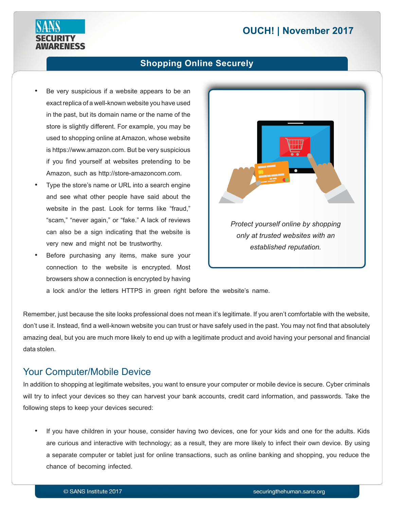# **2017 | OUCH! | November 2017**



#### **Shopping Online Securely**

- Be very suspicious if a website appears to be an exact replica of a well-known website you have used in the past, but its domain name or the name of the store is slightly different. For example, you may be used to shopping online at Amazon, whose website is https://www.amazon.com. But be very suspicious if you find yourself at websites pretending to be Amazon, such as http://store-amazoncom.com.
- Type the store's name or URL into a search engine and see what other people have said about the website in the past. Look for terms like "fraud," "scam," "never again," or "fake." A lack of reviews can also be a sign indicating that the website is very new and might not be trustworthy.
- Before purchasing any items, make sure your connection to the website is encrypted. Most browsers show a connection is encrypted by having



a lock and/or the letters HTTPS in green right before the website's name.

Remember, just because the site looks professional does not mean it's legitimate. If you aren't comfortable with the website, don't use it. Instead, find a well-known website you can trust or have safely used in the past. You may not find that absolutely amazing deal, but you are much more likely to end up with a legitimate product and avoid having your personal and financial data stolen.

## Your Computer/Mobile Device

In addition to shopping at legitimate websites, you want to ensure your computer or mobile device is secure. Cyber criminals will try to infect your devices so they can harvest your bank accounts, credit card information, and passwords. Take the following steps to keep your devices secured:

If you have children in your house, consider having two devices, one for your kids and one for the adults. Kids are curious and interactive with technology; as a result, they are more likely to infect their own device. By using a separate computer or tablet just for online transactions, such as online banking and shopping, you reduce the chance of becoming infected.